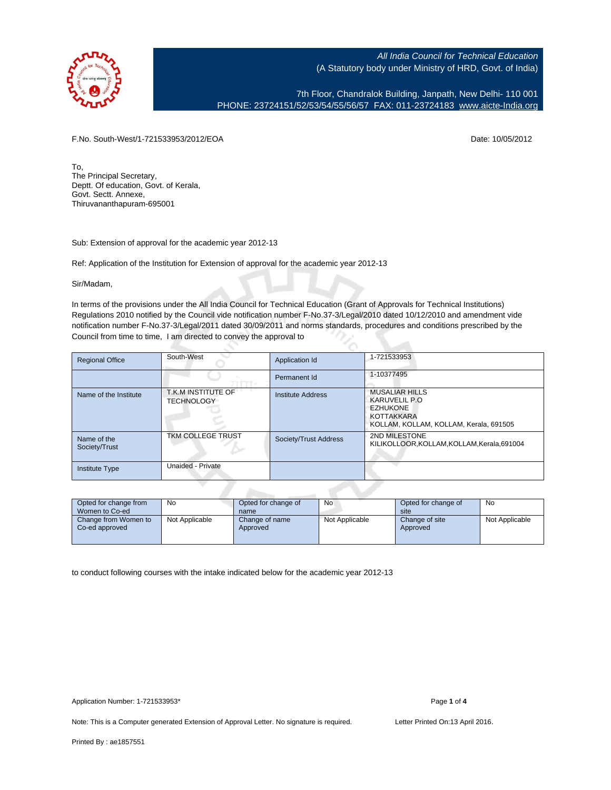

7th Floor, Chandralok Building, Janpath, New Delhi- 110 001 PHONE: 23724151/52/53/54/55/56/57 FAX: 011-23724183 [www.aicte-India.org](http://www.aicte-India.org)

F.No. South-West/1-721533953/2012/EOA Date: 10/05/2012

To, The Principal Secretary, Deptt. Of education, Govt. of Kerala, Govt. Sectt. Annexe, Thiruvananthapuram-695001

Sub: Extension of approval for the academic year 2012-13

Ref: Application of the Institution for Extension of approval for the academic year 2012-13

Sir/Madam,

In terms of the provisions under the All India Council for Technical Education (Grant of Approvals for Technical Institutions) Regulations 2010 notified by the Council vide notification number F-No.37-3/Legal/2010 dated 10/12/2010 and amendment vide notification number F-No.37-3/Legal/2011 dated 30/09/2011 and norms standards, procedures and conditions prescribed by the Council from time to time, I am directed to convey the approval to

| <b>Regional Office</b>       | South-West                              | Application Id           | 1-721533953                                                                                                               |  |  |  |  |  |
|------------------------------|-----------------------------------------|--------------------------|---------------------------------------------------------------------------------------------------------------------------|--|--|--|--|--|
|                              |                                         | Permanent Id             | 1-10377495                                                                                                                |  |  |  |  |  |
| Name of the Institute        | T.K.M INSTITUTE OF<br><b>TECHNOLOGY</b> | <b>Institute Address</b> | <b>MUSALIAR HILLS</b><br>KARUVELIL P.O.<br><b>EZHUKONE</b><br><b>KOTTAKKARA</b><br>KOLLAM, KOLLAM, KOLLAM, Kerala, 691505 |  |  |  |  |  |
| Name of the<br>Society/Trust | <b>TKM COLLEGE TRUST</b>                | Society/Trust Address    | 2ND MILESTONE<br>KILIKOLLOOR, KOLLAM, KOLLAM, Kerala, 691004                                                              |  |  |  |  |  |
| <b>Institute Type</b>        | Unaided - Private                       |                          |                                                                                                                           |  |  |  |  |  |
|                              |                                         |                          |                                                                                                                           |  |  |  |  |  |

| Opted for change from<br>Women to Co-ed | No             | Opted for change of<br>name | No             | Opted for change of<br>site | No             |
|-----------------------------------------|----------------|-----------------------------|----------------|-----------------------------|----------------|
| Change from Women to<br>Co-ed approved  | Not Applicable | Change of name<br>Approved  | Not Applicable | Change of site<br>Approved  | Not Applicable |

to conduct following courses with the intake indicated below for the academic year 2012-13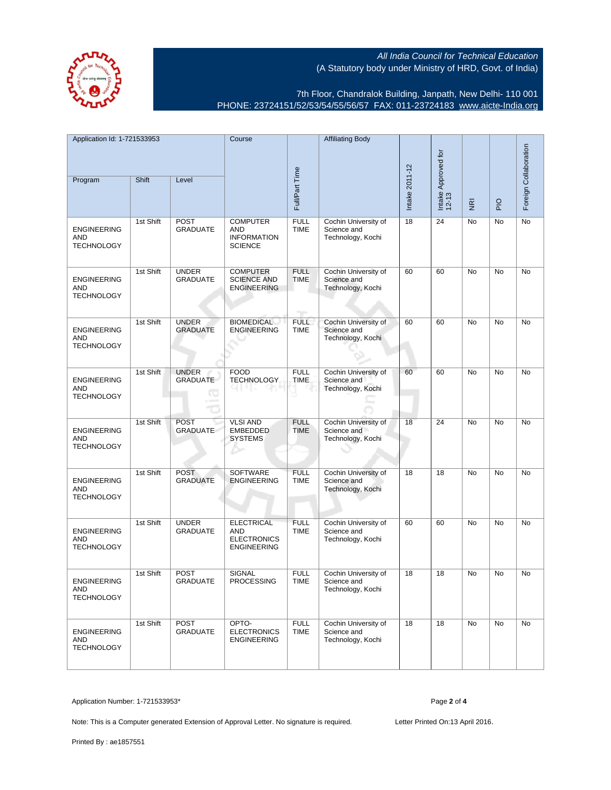7th Floor, Chandralok Building, Janpath, New Delhi- 110 001 PHONE: 23724151/52/53/54/55/56/57 FAX: 011-23724183 [www.aicte-India.org](http://www.aicte-India.org)

| Application Id: 1-721533953                           |           | Course                                 |                                                                      | <b>Affiliating Body</b>    |                                                          |                |                              |                         | Foreign Collaboration |    |
|-------------------------------------------------------|-----------|----------------------------------------|----------------------------------------------------------------------|----------------------------|----------------------------------------------------------|----------------|------------------------------|-------------------------|-----------------------|----|
| Program                                               | Shift     | Level                                  | Full/Part Time                                                       |                            |                                                          | Intake 2011-12 | Intake Approved for<br>12-13 | $\overline{\mathbf{g}}$ | $rac{O}{P}$           |    |
| <b>ENGINEERING</b><br><b>AND</b><br><b>TECHNOLOGY</b> | 1st Shift | <b>POST</b><br><b>GRADUATE</b>         | <b>COMPUTER</b><br>AND<br><b>INFORMATION</b><br><b>SCIENCE</b>       | <b>FULL</b><br><b>TIME</b> | Cochin University of<br>Science and<br>Technology, Kochi | 18             | 24                           | No                      | No                    | No |
| <b>ENGINEERING</b><br>AND<br><b>TECHNOLOGY</b>        | 1st Shift | <b>UNDER</b><br><b>GRADUATE</b>        | <b>COMPUTER</b><br><b>SCIENCE AND</b><br><b>ENGINEERING</b>          | <b>FULL</b><br><b>TIME</b> | Cochin University of<br>Science and<br>Technology, Kochi | 60             | 60                           | No                      | No                    | No |
| <b>ENGINEERING</b><br>AND<br><b>TECHNOLOGY</b>        | 1st Shift | <b>UNDER</b><br><b>GRADUATE</b>        | <b>BIOMEDICAL</b><br><b>ENGINEERING</b>                              | <b>FULL</b><br><b>TIME</b> | Cochin University of<br>Science and<br>Technology, Kochi | 60             | 60                           | No                      | No                    | No |
| <b>ENGINEERING</b><br>AND<br><b>TECHNOLOGY</b>        | 1st Shift | <b>UNDER</b><br><b>GRADUATE</b><br>. O | <b>FOOD</b><br><b>TECHNOLOGY</b>                                     | <b>FULL</b><br><b>TIME</b> | Cochin University of<br>Science and<br>Technology, Kochi | 60             | 60                           | <b>No</b>               | <b>No</b>             | No |
| <b>ENGINEERING</b><br>AND<br><b>TECHNOLOGY</b>        | 1st Shift | <b>POST</b><br><b>GRADUATE</b>         | <b>VLSI AND</b><br><b>EMBEDDED</b><br><b>SYSTEMS</b>                 | <b>FULL</b><br><b>TIME</b> | Cochin University of<br>Science and<br>Technology, Kochi | 18             | 24                           | No                      | No                    | No |
| <b>ENGINEERING</b><br><b>AND</b><br><b>TECHNOLOGY</b> | 1st Shift | <b>POST</b><br><b>GRADUATE</b>         | SOFTWARE<br><b>ENGINEERING</b>                                       | <b>FULL</b><br><b>TIME</b> | Cochin University of<br>Science and<br>Technology, Kochi | 18             | 18                           | No                      | No                    | No |
| <b>ENGINEERING</b><br><b>AND</b><br><b>TECHNOLOGY</b> | 1st Shift | <b>UNDER</b><br><b>GRADUATE</b>        | <b>ELECTRICAL</b><br>AND<br><b>ELECTRONICS</b><br><b>ENGINEERING</b> | <b>FULL</b><br><b>TIME</b> | Cochin University of<br>Science and<br>Technology, Kochi | 60             | 60                           | No                      | No                    | No |
| <b>ENGINEERING</b><br>AND<br><b>TECHNOLOGY</b>        | 1st Shift | <b>POST</b><br><b>GRADUATE</b>         | SIGNAL<br><b>PROCESSING</b>                                          | <b>FULL</b><br><b>TIME</b> | Cochin University of<br>Science and<br>Technology, Kochi | 18             | 18                           | No                      | No                    | No |
| <b>ENGINEERING</b><br>AND<br><b>TECHNOLOGY</b>        | 1st Shift | <b>POST</b><br><b>GRADUATE</b>         | OPTO-<br><b>ELECTRONICS</b><br><b>ENGINEERING</b>                    | <b>FULL</b><br><b>TIME</b> | Cochin University of<br>Science and<br>Technology, Kochi | 18             | 18                           | No                      | <b>No</b>             | No |

Application Number: 1-721533953\* Page **2** of **4**

Note: This is a Computer generated Extension of Approval Letter. No signature is required. Letter Printed On:13 April 2016.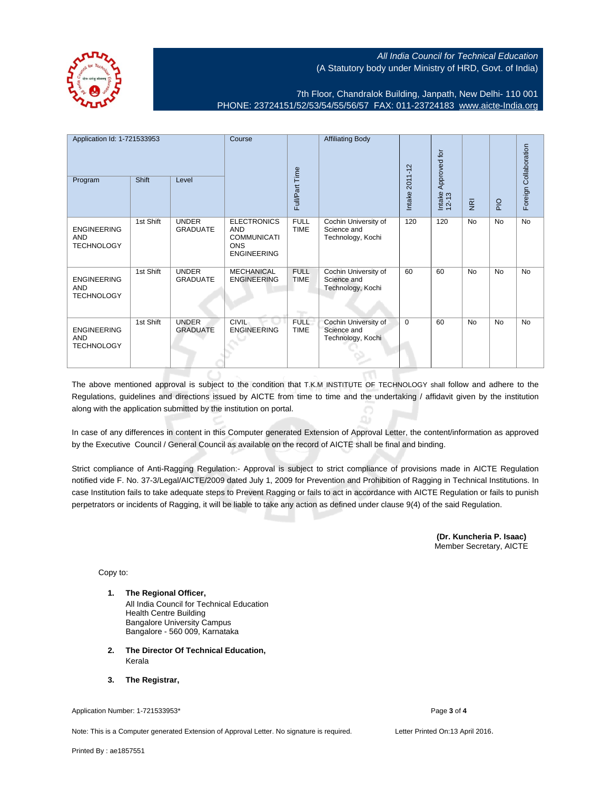

7th Floor, Chandralok Building, Janpath, New Delhi- 110 001 PHONE: 23724151/52/53/54/55/56/57 FAX: 011-23724183 [www.aicte-India.org](http://www.aicte-India.org)

| Application Id: 1-721533953<br>Program                | Shift     | Level                           | Course                                                                                     | Full/Part Time             | <b>Affiliating Body</b>                                  | Intake 2011-12 | Approved for<br>Intake<br>12-13 | $\overline{g}$ | $\frac{1}{2}$ | Foreign Collaboration |
|-------------------------------------------------------|-----------|---------------------------------|--------------------------------------------------------------------------------------------|----------------------------|----------------------------------------------------------|----------------|---------------------------------|----------------|---------------|-----------------------|
| <b>ENGINEERING</b><br>AND<br><b>TECHNOLOGY</b>        | 1st Shift | <b>UNDER</b><br><b>GRADUATE</b> | <b>ELECTRONICS</b><br><b>AND</b><br><b>COMMUNICATI</b><br><b>ONS</b><br><b>ENGINEERING</b> | <b>FULL</b><br><b>TIME</b> | Cochin University of<br>Science and<br>Technology, Kochi | 120            | 120                             | <b>No</b>      | No            | <b>No</b>             |
| <b>ENGINEERING</b><br><b>AND</b><br><b>TECHNOLOGY</b> | 1st Shift | <b>UNDER</b><br><b>GRADUATE</b> | <b>MECHANICAL</b><br><b>ENGINEERING</b>                                                    | <b>FULL</b><br><b>TIME</b> | Cochin University of<br>Science and<br>Technology, Kochi | 60             | 60                              | <b>No</b>      | No            | <b>No</b>             |
| <b>ENGINEERING</b><br><b>AND</b><br><b>TECHNOLOGY</b> | 1st Shift | <b>UNDER</b><br><b>GRADUATE</b> | <b>CIVIL</b><br><b>ENGINEERING</b>                                                         | <b>FULL</b><br><b>TIME</b> | Cochin University of<br>Science and<br>Technology, Kochi | $\mathbf 0$    | 60                              | <b>No</b>      | <b>No</b>     | <b>No</b>             |

The above mentioned approval is subject to the condition that T.K.M INSTITUTE OF TECHNOLOGY shall follow and adhere to the Regulations, guidelines and directions issued by AICTE from time to time and the undertaking / affidavit given by the institution along with the application submitted by the institution on portal.

In case of any differences in content in this Computer generated Extension of Approval Letter, the content/information as approved by the Executive Council / General Council as available on the record of AICTE shall be final and binding.

Strict compliance of Anti-Ragging Regulation:- Approval is subject to strict compliance of provisions made in AICTE Regulation notified vide F. No. 37-3/Legal/AICTE/2009 dated July 1, 2009 for Prevention and Prohibition of Ragging in Technical Institutions. In case Institution fails to take adequate steps to Prevent Ragging or fails to act in accordance with AICTE Regulation or fails to punish perpetrators or incidents of Ragging, it will be liable to take any action as defined under clause 9(4) of the said Regulation.

> **(Dr. Kuncheria P. Isaac)** Member Secretary, AICTE

Copy to:

- **1. The Regional Officer,** All India Council for Technical Education Health Centre Building Bangalore University Campus Bangalore - 560 009, Karnataka
- **2. The Director Of Technical Education,** Kerala
- **3. The Registrar,**

Application Number: 1-721533953\* Page **3** of **4**

Note: This is a Computer generated Extension of Approval Letter. No signature is required. Letter Printed On:13 April 2016.